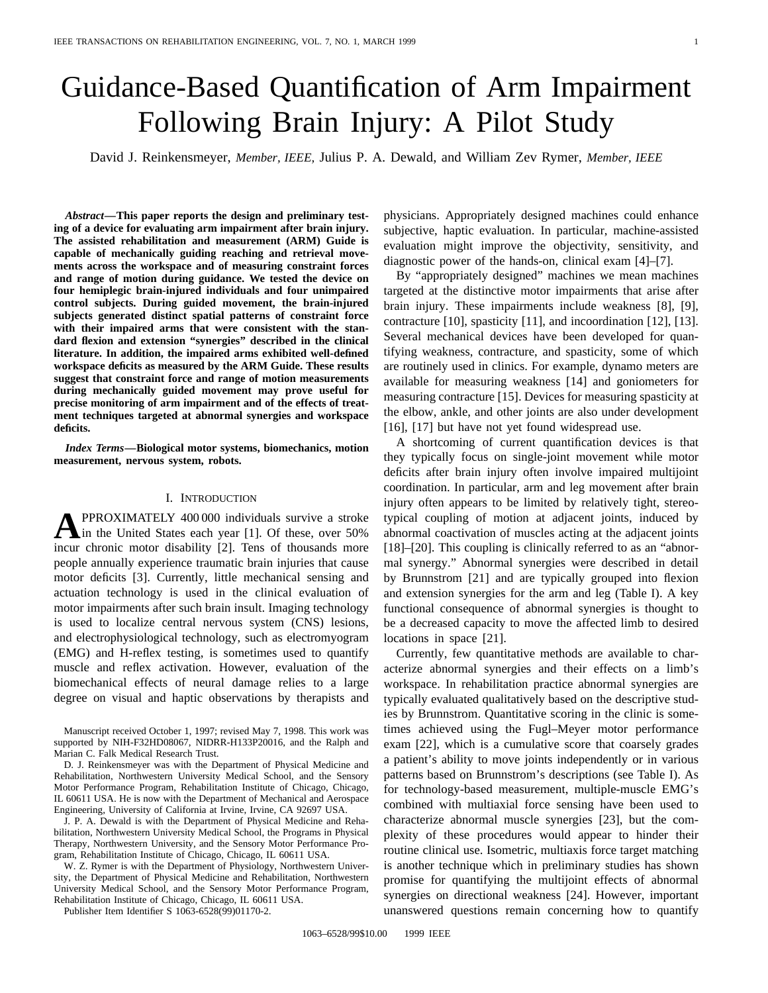# Guidance-Based Quantification of Arm Impairment Following Brain Injury: A Pilot Study

David J. Reinkensmeyer, *Member, IEEE,* Julius P. A. Dewald, and William Zev Rymer, *Member, IEEE*

*Abstract—***This paper reports the design and preliminary testing of a device for evaluating arm impairment after brain injury. The assisted rehabilitation and measurement (ARM) Guide is capable of mechanically guiding reaching and retrieval movements across the workspace and of measuring constraint forces and range of motion during guidance. We tested the device on four hemiplegic brain-injured individuals and four unimpaired control subjects. During guided movement, the brain-injured subjects generated distinct spatial patterns of constraint force with their impaired arms that were consistent with the standard flexion and extension "synergies" described in the clinical literature. In addition, the impaired arms exhibited well-defined workspace deficits as measured by the ARM Guide. These results suggest that constraint force and range of motion measurements during mechanically guided movement may prove useful for precise monitoring of arm impairment and of the effects of treatment techniques targeted at abnormal synergies and workspace deficits.**

*Index Terms—***Biological motor systems, biomechanics, motion measurement, nervous system, robots.**

# I. INTRODUCTION

**A**PPROXIMATELY 400 000 individuals survive a stroke<br>in the United States each year [1]. Of these, over 50% incur chronic motor disability [2]. Tens of thousands more people annually experience traumatic brain injuries that cause motor deficits [3]. Currently, little mechanical sensing and actuation technology is used in the clinical evaluation of motor impairments after such brain insult. Imaging technology is used to localize central nervous system (CNS) lesions, and electrophysiological technology, such as electromyogram (EMG) and H-reflex testing, is sometimes used to quantify muscle and reflex activation. However, evaluation of the biomechanical effects of neural damage relies to a large degree on visual and haptic observations by therapists and

Manuscript received October 1, 1997; revised May 7, 1998. This work was supported by NIH-F32HD08067, NIDRR-H133P20016, and the Ralph and Marian C. Falk Medical Research Trust.

D. J. Reinkensmeyer was with the Department of Physical Medicine and Rehabilitation, Northwestern University Medical School, and the Sensory Motor Performance Program, Rehabilitation Institute of Chicago, Chicago, IL 60611 USA. He is now with the Department of Mechanical and Aerospace Engineering, University of California at Irvine, Irvine, CA 92697 USA.

J. P. A. Dewald is with the Department of Physical Medicine and Rehabilitation, Northwestern University Medical School, the Programs in Physical Therapy, Northwestern University, and the Sensory Motor Performance Program, Rehabilitation Institute of Chicago, Chicago, IL 60611 USA.

W. Z. Rymer is with the Department of Physiology, Northwestern University, the Department of Physical Medicine and Rehabilitation, Northwestern University Medical School, and the Sensory Motor Performance Program, Rehabilitation Institute of Chicago, Chicago, IL 60611 USA.

Publisher Item Identifier S 1063-6528(99)01170-2.

physicians. Appropriately designed machines could enhance subjective, haptic evaluation. In particular, machine-assisted evaluation might improve the objectivity, sensitivity, and diagnostic power of the hands-on, clinical exam [4]–[7].

By "appropriately designed" machines we mean machines targeted at the distinctive motor impairments that arise after brain injury. These impairments include weakness [8], [9], contracture [10], spasticity [11], and incoordination [12], [13]. Several mechanical devices have been developed for quantifying weakness, contracture, and spasticity, some of which are routinely used in clinics. For example, dynamo meters are available for measuring weakness [14] and goniometers for measuring contracture [15]. Devices for measuring spasticity at the elbow, ankle, and other joints are also under development [16], [17] but have not yet found widespread use.

A shortcoming of current quantification devices is that they typically focus on single-joint movement while motor deficits after brain injury often involve impaired multijoint coordination. In particular, arm and leg movement after brain injury often appears to be limited by relatively tight, stereotypical coupling of motion at adjacent joints, induced by abnormal coactivation of muscles acting at the adjacent joints [18]–[20]. This coupling is clinically referred to as an "abnormal synergy." Abnormal synergies were described in detail by Brunnstrom [21] and are typically grouped into flexion and extension synergies for the arm and leg (Table I). A key functional consequence of abnormal synergies is thought to be a decreased capacity to move the affected limb to desired locations in space [21].

Currently, few quantitative methods are available to characterize abnormal synergies and their effects on a limb's workspace. In rehabilitation practice abnormal synergies are typically evaluated qualitatively based on the descriptive studies by Brunnstrom. Quantitative scoring in the clinic is sometimes achieved using the Fugl–Meyer motor performance exam [22], which is a cumulative score that coarsely grades a patient's ability to move joints independently or in various patterns based on Brunnstrom's descriptions (see Table I). As for technology-based measurement, multiple-muscle EMG's combined with multiaxial force sensing have been used to characterize abnormal muscle synergies [23], but the complexity of these procedures would appear to hinder their routine clinical use. Isometric, multiaxis force target matching is another technique which in preliminary studies has shown promise for quantifying the multijoint effects of abnormal synergies on directional weakness [24]. However, important unanswered questions remain concerning how to quantify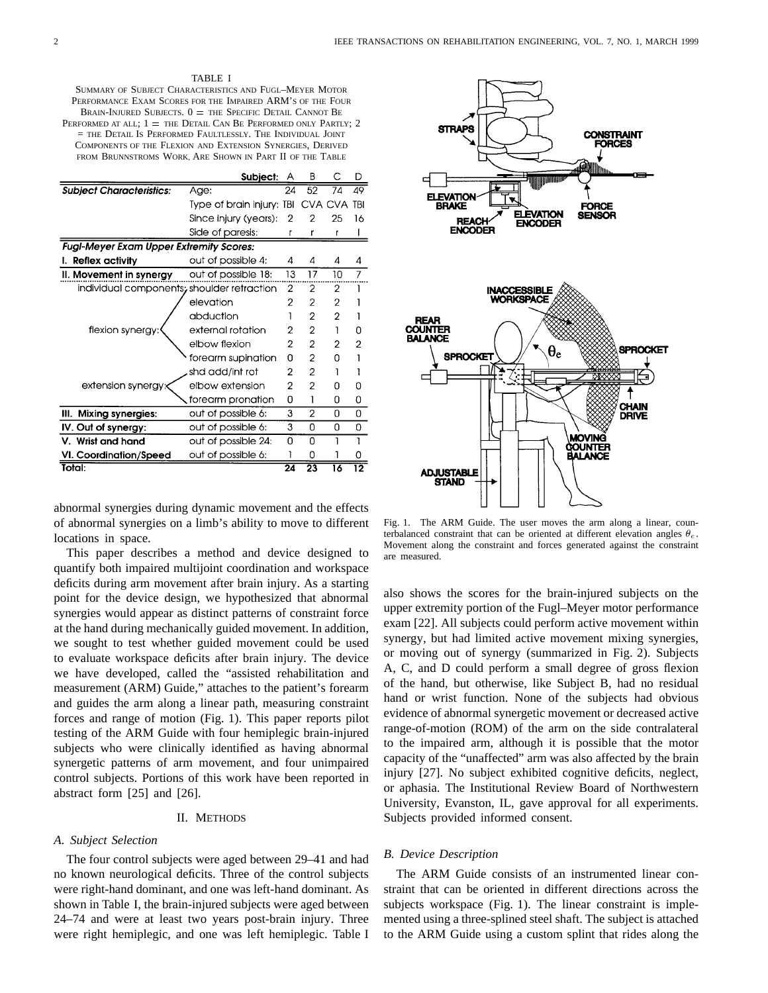#### TABLE I SUMMARY OF SUBJECT CHARACTERISTICS AND FUGL–MEYER MOTOR PERFORMANCE EXAM SCORES FOR THE IMPAIRED ARM'S OF THE FOUR BRAIN-INJURED SUBJECTS.  $0 =$  THE SPECIFIC DETAIL CANNOT BE PERFORMED AT ALL;  $1 =$  THE DETAIL CAN BE PERFORMED ONLY PARTLY; 2 = THE DETAIL IS PERFORMED FAULTLESSLY. THE INDIVIDUAL JOINT COMPONENTS OF THE FLEXION AND EXTENSION SYNERGIES, DERIVED FROM BRUNNSTROMS WORK, ARE SHOWN IN PART II OF THE TABLE

|                                                | Subject:              | A              | B              | С       | D   |
|------------------------------------------------|-----------------------|----------------|----------------|---------|-----|
| <b>Subject Characteristics:</b>                | Age:                  | 24             | 52             | 74      | 49  |
|                                                | Type of brain injury: | TBI            |                | CVA CVA | TBI |
|                                                | Since injury (years): | 2              | 2              | 25      | 16  |
|                                                | Side of paresis:      | ۲              | ٢              | ľ       |     |
| <b>Fugl-Meyer Exam Upper Extremity Scores:</b> |                       |                |                |         |     |
| <b>Reflex activity</b>                         | out of possible 4:    | 4              | 4              | 4       | 4   |
| II. Movement in synergy                        | out of possible 18:   | 13             | 17             | 10      | 7   |
| individual components; shoulder retraction     |                       | 2              | 2              | 2       |     |
|                                                | elevation             | 2              | 2              | 2       |     |
|                                                | abduction             | ı              | 2              | 2       |     |
| flexion synergy                                | external rotation     | 2              | 2              | 1       | O   |
|                                                | elbow flexion         | 2              | 2              | 2       | 2   |
|                                                | forearm supination    | O              | 2              | ი       |     |
|                                                | shd add/int rot       | $\overline{2}$ | $\overline{2}$ |         |     |
| extension synergy                              | elbow extension       | 2              | 2              | U       | n   |
|                                                | forearm pronation     | 0              | 1              | 0       | 0   |
| Ш.<br>Mixing synergies:                        | out of possible 6:    | 3              | $\overline{2}$ | 0       | 0   |
| IV. Out of synergy:                            | out of possible 6:    | 3              | 0              | 0       | 0   |
| V. Wrist and hand                              | out of possible 24:   | 0              | O              |         |     |
| VI. Coordination/Speed                         | out of possible 6:    |                | 0              |         | Ω   |
| Total:                                         |                       | 24             | 23             | 16      | 12  |

abnormal synergies during dynamic movement and the effects of abnormal synergies on a limb's ability to move to different locations in space.

This paper describes a method and device designed to quantify both impaired multijoint coordination and workspace deficits during arm movement after brain injury. As a starting point for the device design, we hypothesized that abnormal synergies would appear as distinct patterns of constraint force at the hand during mechanically guided movement. In addition, we sought to test whether guided movement could be used to evaluate workspace deficits after brain injury. The device we have developed, called the "assisted rehabilitation and measurement (ARM) Guide," attaches to the patient's forearm and guides the arm along a linear path, measuring constraint forces and range of motion (Fig. 1). This paper reports pilot testing of the ARM Guide with four hemiplegic brain-injured subjects who were clinically identified as having abnormal synergetic patterns of arm movement, and four unimpaired control subjects. Portions of this work have been reported in abstract form [25] and [26].

#### II. METHODS

#### *A. Subject Selection*

The four control subjects were aged between 29–41 and had no known neurological deficits. Three of the control subjects were right-hand dominant, and one was left-hand dominant. As shown in Table I, the brain-injured subjects were aged between 24–74 and were at least two years post-brain injury. Three were right hemiplegic, and one was left hemiplegic. Table I



Fig. 1. The ARM Guide. The user moves the arm along a linear, counterbalanced constraint that can be oriented at different elevation angles  $\theta_e$ . Movement along the constraint and forces generated against the constraint are measured.

also shows the scores for the brain-injured subjects on the upper extremity portion of the Fugl–Meyer motor performance exam [22]. All subjects could perform active movement within synergy, but had limited active movement mixing synergies, or moving out of synergy (summarized in Fig. 2). Subjects A, C, and D could perform a small degree of gross flexion of the hand, but otherwise, like Subject B, had no residual hand or wrist function. None of the subjects had obvious evidence of abnormal synergetic movement or decreased active range-of-motion (ROM) of the arm on the side contralateral to the impaired arm, although it is possible that the motor capacity of the "unaffected" arm was also affected by the brain injury [27]. No subject exhibited cognitive deficits, neglect, or aphasia. The Institutional Review Board of Northwestern University, Evanston, IL, gave approval for all experiments. Subjects provided informed consent.

# *B. Device Description*

The ARM Guide consists of an instrumented linear constraint that can be oriented in different directions across the subjects workspace (Fig. 1). The linear constraint is implemented using a three-splined steel shaft. The subject is attached to the ARM Guide using a custom splint that rides along the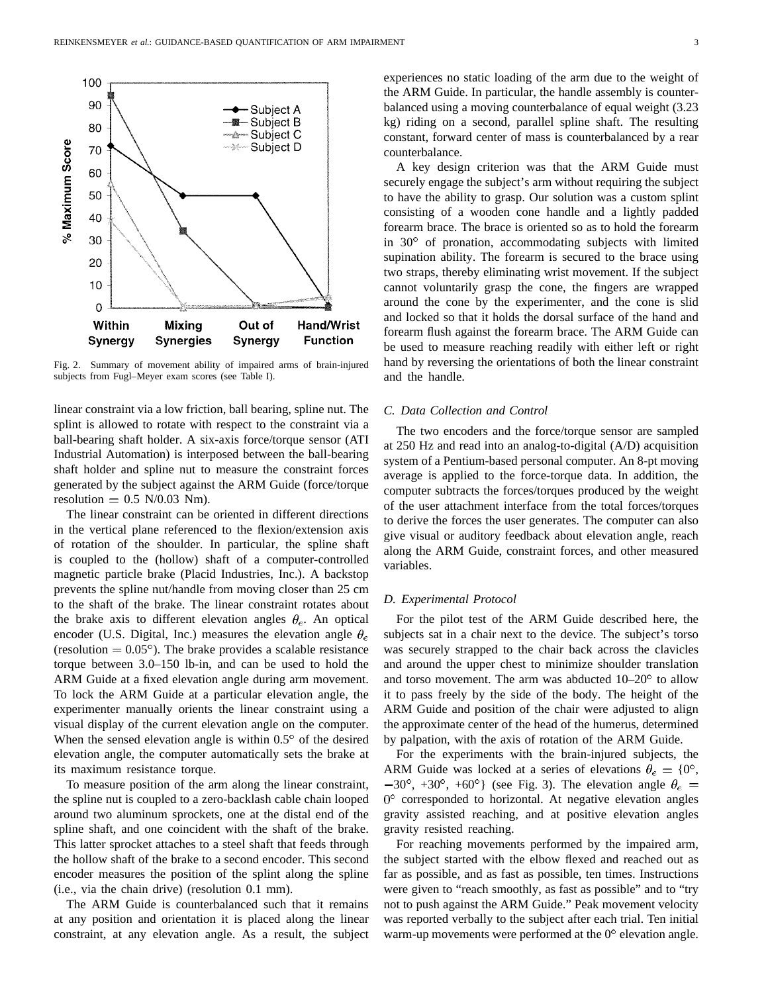

Fig. 2. Summary of movement ability of impaired arms of brain-injured subjects from Fugl–Meyer exam scores (see Table I).

linear constraint via a low friction, ball bearing, spline nut. The splint is allowed to rotate with respect to the constraint via a ball-bearing shaft holder. A six-axis force/torque sensor (ATI Industrial Automation) is interposed between the ball-bearing shaft holder and spline nut to measure the constraint forces generated by the subject against the ARM Guide (force/torque resolution  $= 0.5$  N/0.03 Nm).

The linear constraint can be oriented in different directions in the vertical plane referenced to the flexion/extension axis of rotation of the shoulder. In particular, the spline shaft is coupled to the (hollow) shaft of a computer-controlled magnetic particle brake (Placid Industries, Inc.). A backstop prevents the spline nut/handle from moving closer than 25 cm to the shaft of the brake. The linear constraint rotates about the brake axis to different elevation angles  $\theta_e$ . An optical encoder (U.S. Digital, Inc.) measures the elevation angle  $\theta_e$ (resolution  $= 0.05^{\circ}$ ). The brake provides a scalable resistance torque between 3.0–150 lb-in, and can be used to hold the ARM Guide at a fixed elevation angle during arm movement. To lock the ARM Guide at a particular elevation angle, the experimenter manually orients the linear constraint using a visual display of the current elevation angle on the computer. When the sensed elevation angle is within  $0.5^{\circ}$  of the desired elevation angle, the computer automatically sets the brake at its maximum resistance torque.

To measure position of the arm along the linear constraint, the spline nut is coupled to a zero-backlash cable chain looped around two aluminum sprockets, one at the distal end of the spline shaft, and one coincident with the shaft of the brake. This latter sprocket attaches to a steel shaft that feeds through the hollow shaft of the brake to a second encoder. This second encoder measures the position of the splint along the spline (i.e., via the chain drive) (resolution 0.1 mm).

The ARM Guide is counterbalanced such that it remains at any position and orientation it is placed along the linear constraint, at any elevation angle. As a result, the subject experiences no static loading of the arm due to the weight of the ARM Guide. In particular, the handle assembly is counterbalanced using a moving counterbalance of equal weight (3.23 kg) riding on a second, parallel spline shaft. The resulting constant, forward center of mass is counterbalanced by a rear counterbalance.

A key design criterion was that the ARM Guide must securely engage the subject's arm without requiring the subject to have the ability to grasp. Our solution was a custom splint consisting of a wooden cone handle and a lightly padded forearm brace. The brace is oriented so as to hold the forearm in  $30^{\circ}$  of pronation, accommodating subjects with limited supination ability. The forearm is secured to the brace using two straps, thereby eliminating wrist movement. If the subject cannot voluntarily grasp the cone, the fingers are wrapped around the cone by the experimenter, and the cone is slid and locked so that it holds the dorsal surface of the hand and forearm flush against the forearm brace. The ARM Guide can be used to measure reaching readily with either left or right hand by reversing the orientations of both the linear constraint and the handle.

## *C. Data Collection and Control*

The two encoders and the force/torque sensor are sampled at 250 Hz and read into an analog-to-digital (A/D) acquisition system of a Pentium-based personal computer. An 8-pt moving average is applied to the force-torque data. In addition, the computer subtracts the forces/torques produced by the weight of the user attachment interface from the total forces/torques to derive the forces the user generates. The computer can also give visual or auditory feedback about elevation angle, reach along the ARM Guide, constraint forces, and other measured variables.

## *D. Experimental Protocol*

For the pilot test of the ARM Guide described here, the subjects sat in a chair next to the device. The subject's torso was securely strapped to the chair back across the clavicles and around the upper chest to minimize shoulder translation and torso movement. The arm was abducted  $10-20^{\circ}$  to allow it to pass freely by the side of the body. The height of the ARM Guide and position of the chair were adjusted to align the approximate center of the head of the humerus, determined by palpation, with the axis of rotation of the ARM Guide.

For the experiments with the brain-injured subjects, the ARM Guide was locked at a series of elevations  $\theta_e = \{0^\circ,$  $-30^{\circ}$ , +30°, +60°} (see Fig. 3). The elevation angle  $\theta_e$  =  $0^{\circ}$  corresponded to horizontal. At negative elevation angles gravity assisted reaching, and at positive elevation angles gravity resisted reaching.

For reaching movements performed by the impaired arm, the subject started with the elbow flexed and reached out as far as possible, and as fast as possible, ten times. Instructions were given to "reach smoothly, as fast as possible" and to "try not to push against the ARM Guide." Peak movement velocity was reported verbally to the subject after each trial. Ten initial warm-up movements were performed at the  $0^{\circ}$  elevation angle.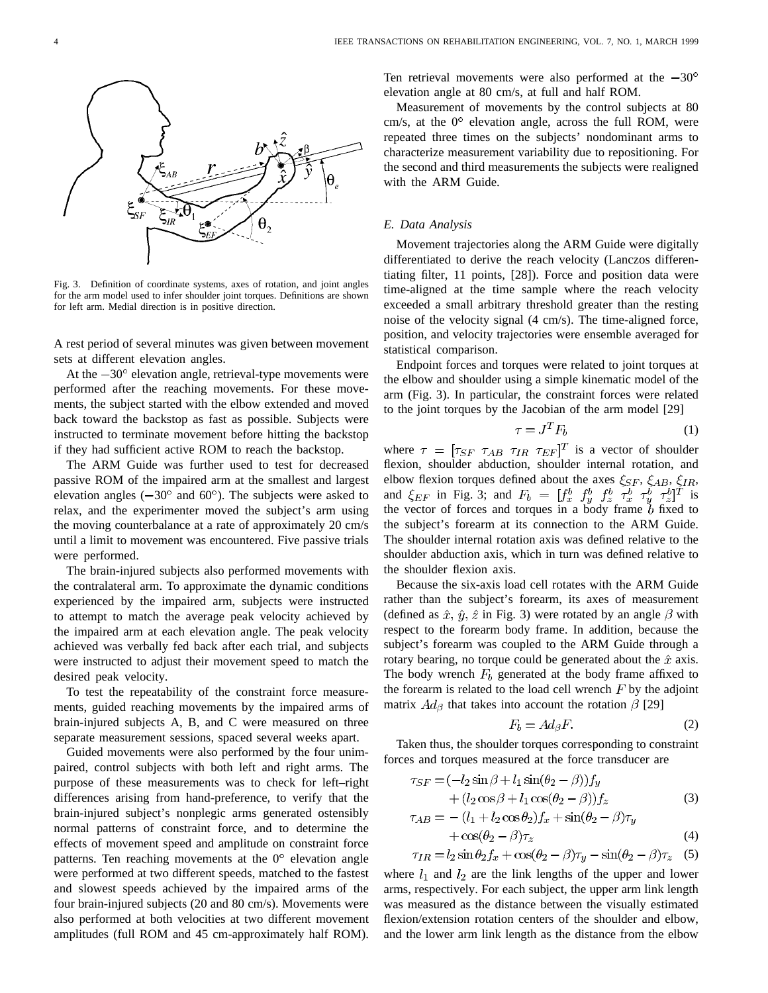

Fig. 3. Definition of coordinate systems, axes of rotation, and joint angles for the arm model used to infer shoulder joint torques. Definitions are shown for left arm. Medial direction is in positive direction.

A rest period of several minutes was given between movement sets at different elevation angles.

At the  $-30^{\circ}$  elevation angle, retrieval-type movements were performed after the reaching movements. For these movements, the subject started with the elbow extended and moved back toward the backstop as fast as possible. Subjects were instructed to terminate movement before hitting the backstop if they had sufficient active ROM to reach the backstop.

The ARM Guide was further used to test for decreased passive ROM of the impaired arm at the smallest and largest elevation angles  $(-30^{\circ}$  and  $60^{\circ})$ . The subjects were asked to relax, and the experimenter moved the subject's arm using the moving counterbalance at a rate of approximately 20 cm/s until a limit to movement was encountered. Five passive trials were performed.

The brain-injured subjects also performed movements with the contralateral arm. To approximate the dynamic conditions experienced by the impaired arm, subjects were instructed to attempt to match the average peak velocity achieved by the impaired arm at each elevation angle. The peak velocity achieved was verbally fed back after each trial, and subjects were instructed to adjust their movement speed to match the desired peak velocity.

To test the repeatability of the constraint force measurements, guided reaching movements by the impaired arms of brain-injured subjects A, B, and C were measured on three separate measurement sessions, spaced several weeks apart.

Guided movements were also performed by the four unimpaired, control subjects with both left and right arms. The purpose of these measurements was to check for left–right differences arising from hand-preference, to verify that the brain-injured subject's nonplegic arms generated ostensibly normal patterns of constraint force, and to determine the effects of movement speed and amplitude on constraint force patterns. Ten reaching movements at the  $0^{\circ}$  elevation angle were performed at two different speeds, matched to the fastest and slowest speeds achieved by the impaired arms of the four brain-injured subjects (20 and 80 cm/s). Movements were also performed at both velocities at two different movement amplitudes (full ROM and 45 cm-approximately half ROM).

Ten retrieval movements were also performed at the  $-30^{\circ}$ elevation angle at 80 cm/s, at full and half ROM.

Measurement of movements by the control subjects at 80 cm/s, at the  $0^{\circ}$  elevation angle, across the full ROM, were repeated three times on the subjects' nondominant arms to characterize measurement variability due to repositioning. For the second and third measurements the subjects were realigned with the ARM Guide.

#### *E. Data Analysis*

Movement trajectories along the ARM Guide were digitally differentiated to derive the reach velocity (Lanczos differentiating filter, 11 points, [28]). Force and position data were time-aligned at the time sample where the reach velocity exceeded a small arbitrary threshold greater than the resting noise of the velocity signal (4 cm/s). The time-aligned force, position, and velocity trajectories were ensemble averaged for statistical comparison.

Endpoint forces and torques were related to joint torques at the elbow and shoulder using a simple kinematic model of the arm (Fig. 3). In particular, the constraint forces were related to the joint torques by the Jacobian of the arm model [29]

$$
\tau = J^T F_b \tag{1}
$$

where  $\tau = [\tau_{SF} \tau_{AB} \tau_{IR} \tau_{EF}]^T$  is a vector of shoulder flexion, shoulder abduction, shoulder internal rotation, and elbow flexion torques defined about the axes  $\xi_{SF}$ ,  $\xi_{AB}$ ,  $\xi_{IR}$ , and  $\xi_{EF}$  in Fig. 3; and  $F_b = \int_x^b f^b_u f^b_z \tau^b_x \tau^b_u \tau^b_z T$  is the vector of forces and torques in a body frame  $b$  fixed to the subject's forearm at its connection to the ARM Guide. The shoulder internal rotation axis was defined relative to the shoulder abduction axis, which in turn was defined relative to the shoulder flexion axis.

Because the six-axis load cell rotates with the ARM Guide rather than the subject's forearm, its axes of measurement (defined as  $\hat{x}, \hat{y}, \hat{z}$  in Fig. 3) were rotated by an angle  $\beta$  with respect to the forearm body frame. In addition, because the subject's forearm was coupled to the ARM Guide through a rotary bearing, no torque could be generated about the  $\hat{x}$  axis. The body wrench  $F_b$  generated at the body frame affixed to the forearm is related to the load cell wrench  $F$  by the adjoint matrix  $Ad_\beta$  that takes into account the rotation  $\beta$  [29]

$$
F_b = Ad_{\beta}F. \tag{2}
$$

Taken thus, the shoulder torques corresponding to constraint forces and torques measured at the force transducer are

$$
\tau_{SF} = (-l_2 \sin \beta + l_1 \sin(\theta_2 - \beta))f_y + (l_2 \cos \beta + l_1 \cos(\theta_2 - \beta))f_z
$$
\n(3)

$$
\tau_{AB} = -(l_1 + l_2 \cos \theta_2) f_x + \sin(\theta_2 - \beta) \tau_y + \cos(\theta_2 - \beta) \tau_z
$$
\n(4)

$$
\tau_{IR} = l_2 \sin \theta_2 f_x + \cos(\theta_2 - \beta)\tau_y - \sin(\theta_2 - \beta)\tau_z
$$
 (5)

where  $l_1$  and  $l_2$  are the link lengths of the upper and lower arms, respectively. For each subject, the upper arm link length was measured as the distance between the visually estimated flexion/extension rotation centers of the shoulder and elbow, and the lower arm link length as the distance from the elbow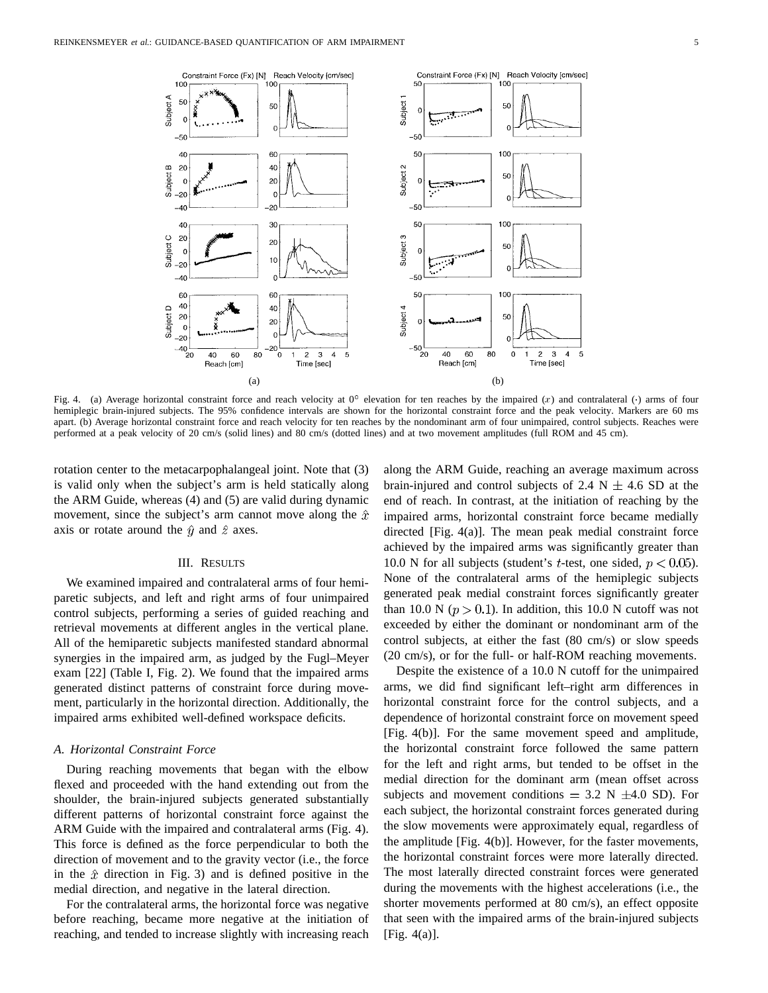

hemiplegic brain-injured subjects. The 95% confidence intervals are shown for the horizontal constraint force and the peak velocity. Markers are 60 ms apart. (b) Average horizontal constraint force and reach velocity for ten reaches by the nondominant arm of four unimpaired, control subjects. Reaches were performed at a peak velocity of 20 cm/s (solid lines) and 80 cm/s (dotted lines) and at two movement amplitudes (full ROM and 45 cm).

rotation center to the metacarpophalangeal joint. Note that (3) is valid only when the subject's arm is held statically along the ARM Guide, whereas (4) and (5) are valid during dynamic movement, since the subject's arm cannot move along the  $\hat{x}$ axis or rotate around the  $\hat{y}$  and  $\hat{z}$  axes.

#### III. RESULTS

We examined impaired and contralateral arms of four hemiparetic subjects, and left and right arms of four unimpaired control subjects, performing a series of guided reaching and retrieval movements at different angles in the vertical plane. All of the hemiparetic subjects manifested standard abnormal synergies in the impaired arm, as judged by the Fugl–Meyer exam [22] (Table I, Fig. 2). We found that the impaired arms generated distinct patterns of constraint force during movement, particularly in the horizontal direction. Additionally, the impaired arms exhibited well-defined workspace deficits.

#### *A. Horizontal Constraint Force*

During reaching movements that began with the elbow flexed and proceeded with the hand extending out from the shoulder, the brain-injured subjects generated substantially different patterns of horizontal constraint force against the ARM Guide with the impaired and contralateral arms (Fig. 4). This force is defined as the force perpendicular to both the direction of movement and to the gravity vector (i.e., the force in the  $\hat{x}$  direction in Fig. 3) and is defined positive in the medial direction, and negative in the lateral direction.

For the contralateral arms, the horizontal force was negative before reaching, became more negative at the initiation of reaching, and tended to increase slightly with increasing reach

along the ARM Guide, reaching an average maximum across brain-injured and control subjects of 2.4 N  $\pm$  4.6 SD at the end of reach. In contrast, at the initiation of reaching by the impaired arms, horizontal constraint force became medially directed [Fig. 4(a)]. The mean peak medial constraint force achieved by the impaired arms was significantly greater than 10.0 N for all subjects (student's t-test, one sided,  $p < 0.05$ ). None of the contralateral arms of the hemiplegic subjects generated peak medial constraint forces significantly greater than 10.0 N ( $p > 0.1$ ). In addition, this 10.0 N cutoff was not exceeded by either the dominant or nondominant arm of the control subjects, at either the fast (80 cm/s) or slow speeds (20 cm/s), or for the full- or half-ROM reaching movements.

Despite the existence of a 10.0 N cutoff for the unimpaired arms, we did find significant left–right arm differences in horizontal constraint force for the control subjects, and a dependence of horizontal constraint force on movement speed [Fig. 4(b)]. For the same movement speed and amplitude, the horizontal constraint force followed the same pattern for the left and right arms, but tended to be offset in the medial direction for the dominant arm (mean offset across subjects and movement conditions  $= 3.2$  N  $\pm 4.0$  SD). For each subject, the horizontal constraint forces generated during the slow movements were approximately equal, regardless of the amplitude [Fig. 4(b)]. However, for the faster movements, the horizontal constraint forces were more laterally directed. The most laterally directed constraint forces were generated during the movements with the highest accelerations (i.e., the shorter movements performed at 80 cm/s), an effect opposite that seen with the impaired arms of the brain-injured subjects [Fig. 4(a)].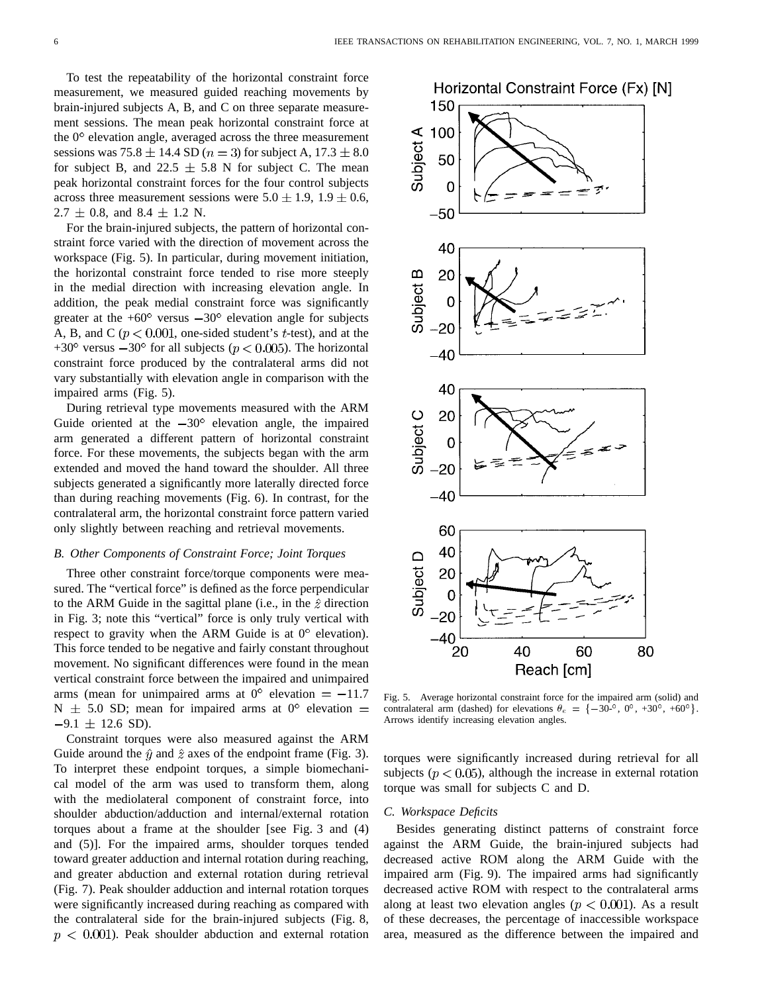To test the repeatability of the horizontal constraint force measurement, we measured guided reaching movements by brain-injured subjects A, B, and C on three separate measurement sessions. The mean peak horizontal constraint force at the  $0^{\circ}$  elevation angle, averaged across the three measurement sessions was 75.8  $\pm$  14.4 SD ( $n = 3$ ) for subject A, 17.3  $\pm$  8.0 for subject B, and 22.5  $\pm$  5.8 N for subject C. The mean peak horizontal constraint forces for the four control subjects across three measurement sessions were  $5.0 \pm 1.9$ ,  $1.9 \pm 0.6$ ,  $2.7 \pm 0.8$ , and  $8.4 \pm 1.2$  N.

For the brain-injured subjects, the pattern of horizontal constraint force varied with the direction of movement across the workspace (Fig. 5). In particular, during movement initiation, the horizontal constraint force tended to rise more steeply in the medial direction with increasing elevation angle. In addition, the peak medial constraint force was significantly greater at the  $+60^{\circ}$  versus  $-30^{\circ}$  elevation angle for subjects A, B, and C ( $p < 0.001$ , one-sided student's t-test), and at the +30° versus  $-30$ ° for all subjects ( $p < 0.005$ ). The horizontal constraint force produced by the contralateral arms did not vary substantially with elevation angle in comparison with the impaired arms (Fig. 5).

During retrieval type movements measured with the ARM Guide oriented at the  $-30^{\circ}$  elevation angle, the impaired arm generated a different pattern of horizontal constraint force. For these movements, the subjects began with the arm extended and moved the hand toward the shoulder. All three subjects generated a significantly more laterally directed force than during reaching movements (Fig. 6). In contrast, for the contralateral arm, the horizontal constraint force pattern varied only slightly between reaching and retrieval movements.

#### *B. Other Components of Constraint Force; Joint Torques*

Three other constraint force/torque components were measured. The "vertical force" is defined as the force perpendicular to the ARM Guide in the sagittal plane (i.e., in the  $\hat{z}$  direction in Fig. 3; note this "vertical" force is only truly vertical with respect to gravity when the ARM Guide is at  $0^{\circ}$  elevation). This force tended to be negative and fairly constant throughout movement. No significant differences were found in the mean vertical constraint force between the impaired and unimpaired arms (mean for unimpaired arms at  $0^{\circ}$  elevation  $= -11.7$  $N \pm 5.0$  SD; mean for impaired arms at  $0^{\circ}$  elevation =  $-9.1 \pm 12.6$  SD).

Constraint torques were also measured against the ARM Guide around the  $\hat{y}$  and  $\hat{z}$  axes of the endpoint frame (Fig. 3). To interpret these endpoint torques, a simple biomechanical model of the arm was used to transform them, along with the mediolateral component of constraint force, into shoulder abduction/adduction and internal/external rotation torques about a frame at the shoulder [see Fig. 3 and (4) and (5)]. For the impaired arms, shoulder torques tended toward greater adduction and internal rotation during reaching, and greater abduction and external rotation during retrieval (Fig. 7). Peak shoulder adduction and internal rotation torques were significantly increased during reaching as compared with the contralateral side for the brain-injured subjects (Fig. 8,  $p < 0.001$ ). Peak shoulder abduction and external rotation



Fig. 5. Average horizontal constraint force for the impaired arm (solid) and contralateral arm (dashed) for elevations  $\theta_e = \{-30^{-\circ}, 0^{\circ}, +30^{\circ}, +60^{\circ}\}.$ Arrows identify increasing elevation angles.

torques were significantly increased during retrieval for all subjects ( $p < 0.05$ ), although the increase in external rotation torque was small for subjects C and D.

#### *C. Workspace Deficits*

Besides generating distinct patterns of constraint force against the ARM Guide, the brain-injured subjects had decreased active ROM along the ARM Guide with the impaired arm (Fig. 9). The impaired arms had significantly decreased active ROM with respect to the contralateral arms along at least two elevation angles ( $p < 0.001$ ). As a result of these decreases, the percentage of inaccessible workspace area, measured as the difference between the impaired and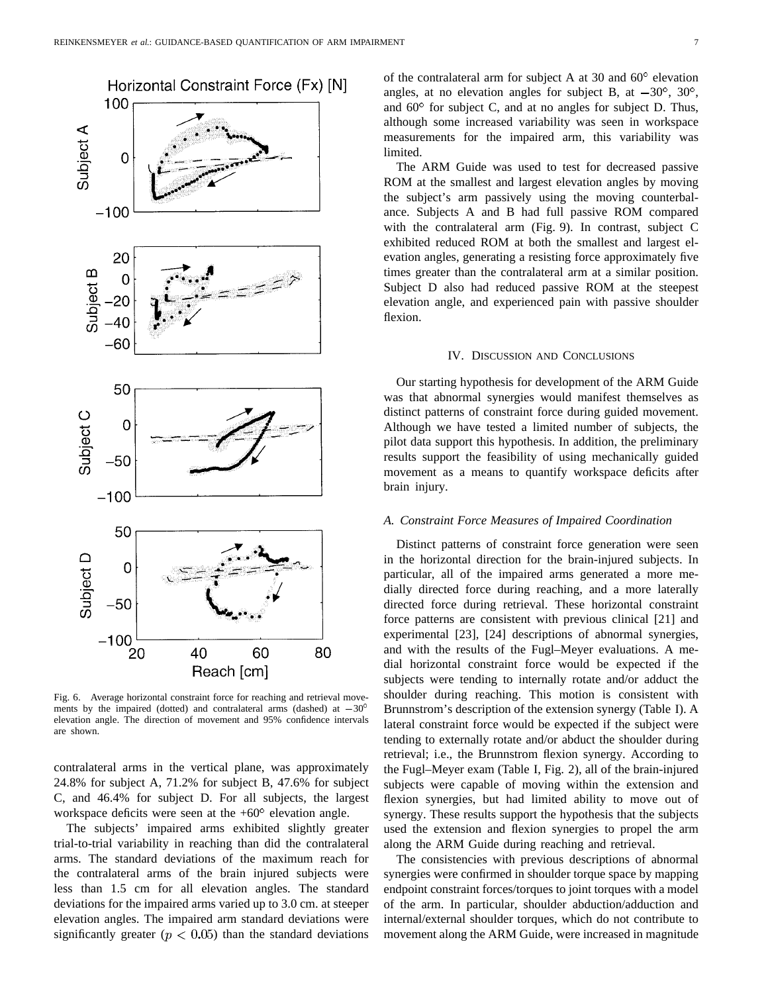

Fig. 6. Average horizontal constraint force for reaching and retrieval move-**MEACH [CITI]**<br>Fig. 6. Average horizontal constraint force for reaching and retrieval move-<br>ments by the impaired (dotted) and contralateral arms (dashed) at  $-30^{\circ}$ elevation angle. The direction of movement and 95% confidence intervals are shown.

contralateral arms in the vertical plane, was approximately 24.8% for subject A, 71.2% for subject B, 47.6% for subject C, and 46.4% for subject D. For all subjects, the largest workspace deficits were seen at the  $+60^\circ$  elevation angle.

The subjects' impaired arms exhibited slightly greater trial-to-trial variability in reaching than did the contralateral arms. The standard deviations of the maximum reach for the contralateral arms of the brain injured subjects were less than 1.5 cm for all elevation angles. The standard deviations for the impaired arms varied up to 3.0 cm. at steeper elevation angles. The impaired arm standard deviations were significantly greater ( $p < 0.05$ ) than the standard deviations

of the contralateral arm for subject A at 30 and  $60^{\circ}$  elevation angles, at no elevation angles for subject B, at  $-30^{\circ}$ ,  $30^{\circ}$ , and  $60^{\circ}$  for subject C, and at no angles for subject D. Thus, although some increased variability was seen in workspace measurements for the impaired arm, this variability was limited.

The ARM Guide was used to test for decreased passive ROM at the smallest and largest elevation angles by moving the subject's arm passively using the moving counterbalance. Subjects A and B had full passive ROM compared with the contralateral arm (Fig. 9). In contrast, subject C exhibited reduced ROM at both the smallest and largest elevation angles, generating a resisting force approximately five times greater than the contralateral arm at a similar position. Subject D also had reduced passive ROM at the steepest elevation angle, and experienced pain with passive shoulder flexion.

#### IV. DISCUSSION AND CONCLUSIONS

Our starting hypothesis for development of the ARM Guide was that abnormal synergies would manifest themselves as distinct patterns of constraint force during guided movement. Although we have tested a limited number of subjects, the pilot data support this hypothesis. In addition, the preliminary results support the feasibility of using mechanically guided movement as a means to quantify workspace deficits after brain injury.

## *A. Constraint Force Measures of Impaired Coordination*

Distinct patterns of constraint force generation were seen in the horizontal direction for the brain-injured subjects. In particular, all of the impaired arms generated a more medially directed force during reaching, and a more laterally directed force during retrieval. These horizontal constraint force patterns are consistent with previous clinical [21] and experimental [23], [24] descriptions of abnormal synergies, and with the results of the Fugl–Meyer evaluations. A medial horizontal constraint force would be expected if the subjects were tending to internally rotate and/or adduct the shoulder during reaching. This motion is consistent with Brunnstrom's description of the extension synergy (Table I). A lateral constraint force would be expected if the subject were tending to externally rotate and/or abduct the shoulder during retrieval; i.e., the Brunnstrom flexion synergy. According to the Fugl–Meyer exam (Table I, Fig. 2), all of the brain-injured subjects were capable of moving within the extension and flexion synergies, but had limited ability to move out of synergy. These results support the hypothesis that the subjects used the extension and flexion synergies to propel the arm along the ARM Guide during reaching and retrieval.

The consistencies with previous descriptions of abnormal synergies were confirmed in shoulder torque space by mapping endpoint constraint forces/torques to joint torques with a model of the arm. In particular, shoulder abduction/adduction and internal/external shoulder torques, which do not contribute to movement along the ARM Guide, were increased in magnitude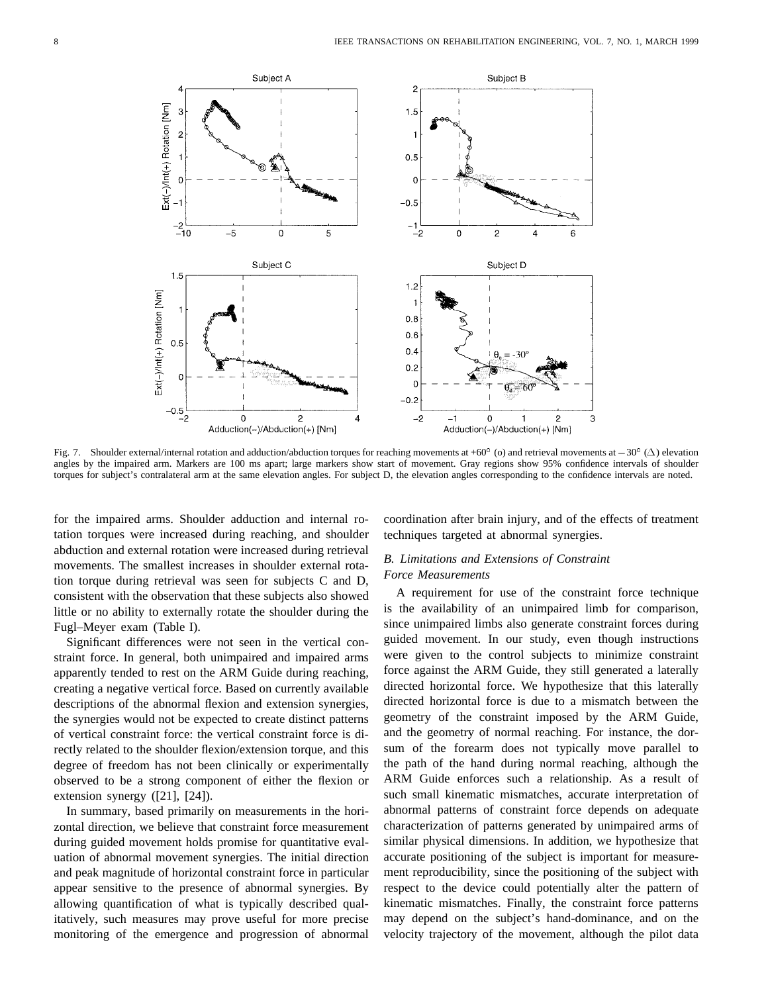

angles by the impaired arm. Markers are 100 ms apart; large markers show start of movement. Gray regions show 95% confidence intervals of shoulder torques for subject's contralateral arm at the same elevation angles. For subject D, the elevation angles corresponding to the confidence intervals are noted.

for the impaired arms. Shoulder adduction and internal rotation torques were increased during reaching, and shoulder abduction and external rotation were increased during retrieval movements. The smallest increases in shoulder external rotation torque during retrieval was seen for subjects C and D, consistent with the observation that these subjects also showed little or no ability to externally rotate the shoulder during the Fugl–Meyer exam (Table I).

Significant differences were not seen in the vertical constraint force. In general, both unimpaired and impaired arms apparently tended to rest on the ARM Guide during reaching, creating a negative vertical force. Based on currently available descriptions of the abnormal flexion and extension synergies, the synergies would not be expected to create distinct patterns of vertical constraint force: the vertical constraint force is directly related to the shoulder flexion/extension torque, and this degree of freedom has not been clinically or experimentally observed to be a strong component of either the flexion or extension synergy ([21], [24]).

In summary, based primarily on measurements in the horizontal direction, we believe that constraint force measurement during guided movement holds promise for quantitative evaluation of abnormal movement synergies. The initial direction and peak magnitude of horizontal constraint force in particular appear sensitive to the presence of abnormal synergies. By allowing quantification of what is typically described qualitatively, such measures may prove useful for more precise monitoring of the emergence and progression of abnormal coordination after brain injury, and of the effects of treatment techniques targeted at abnormal synergies.

# *B. Limitations and Extensions of Constraint Force Measurements*

A requirement for use of the constraint force technique is the availability of an unimpaired limb for comparison, since unimpaired limbs also generate constraint forces during guided movement. In our study, even though instructions were given to the control subjects to minimize constraint force against the ARM Guide, they still generated a laterally directed horizontal force. We hypothesize that this laterally directed horizontal force is due to a mismatch between the geometry of the constraint imposed by the ARM Guide, and the geometry of normal reaching. For instance, the dorsum of the forearm does not typically move parallel to the path of the hand during normal reaching, although the ARM Guide enforces such a relationship. As a result of such small kinematic mismatches, accurate interpretation of abnormal patterns of constraint force depends on adequate characterization of patterns generated by unimpaired arms of similar physical dimensions. In addition, we hypothesize that accurate positioning of the subject is important for measurement reproducibility, since the positioning of the subject with respect to the device could potentially alter the pattern of kinematic mismatches. Finally, the constraint force patterns may depend on the subject's hand-dominance, and on the velocity trajectory of the movement, although the pilot data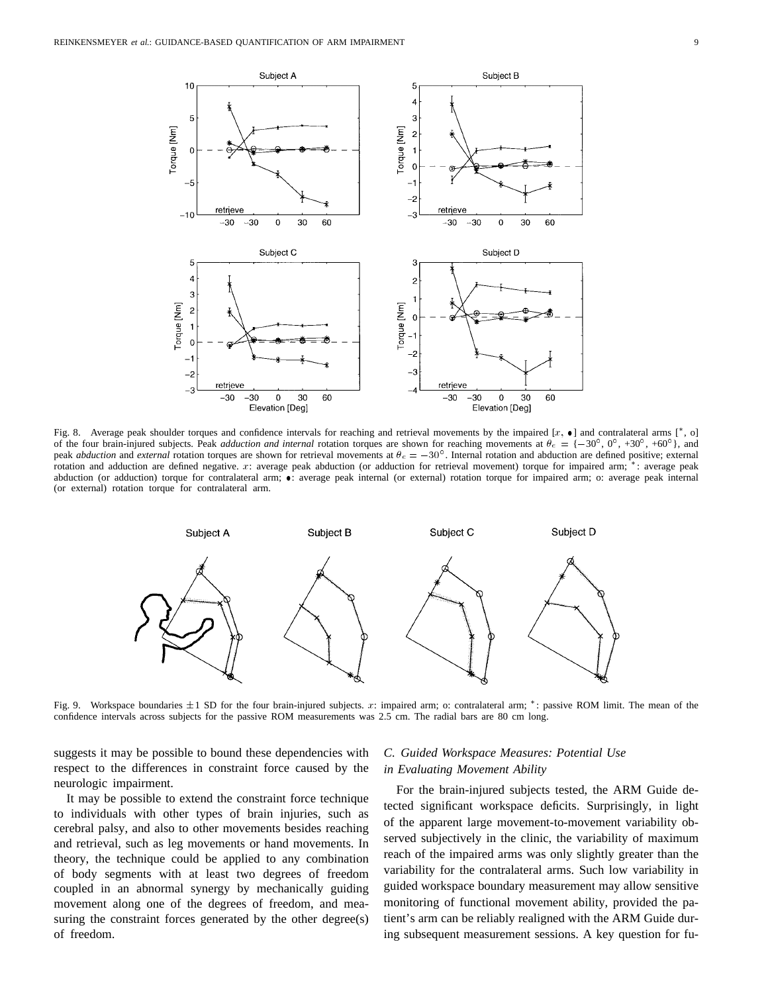

Fig. 8. Average peak shoulder torques and confidence intervals for reaching and retrieval movements by the impaired  $[x, \bullet]$  and contralateral arms  $[^*, o]$ of the four brain-injured subjects. Peak *adduction and internal* rotation torques are shown for reaching movements at  $\theta_e = \{-30^\circ, 0^\circ, +30^\circ, +60^\circ\}$ , and peak *abduction* and *external* rotation torques are shown for retrieval movements at  $\theta_e = -30^\circ$ . Internal rotation and abduction are defined positive; external rotation and adduction are defined negative. x: average peak abduction (or adduction for retrieval movement) torque for impaired arm; \*: average peak abduction (or adduction) torque for contralateral arm;  $\bullet$ : average peak internal (or external) rotation torque for impaired arm; o: average peak internal (or external) rotation torque for contralateral arm.



Fig. 9. Workspace boundaries  $\pm 1$  SD for the four brain-injured subjects. x: impaired arm; o: contralateral arm; \*: passive ROM limit. The mean of the confidence intervals across subjects for the passive ROM measurements was 2.5 cm. The radial bars are 80 cm long.

suggests it may be possible to bound these dependencies with respect to the differences in constraint force caused by the neurologic impairment.

It may be possible to extend the constraint force technique to individuals with other types of brain injuries, such as cerebral palsy, and also to other movements besides reaching and retrieval, such as leg movements or hand movements. In theory, the technique could be applied to any combination of body segments with at least two degrees of freedom coupled in an abnormal synergy by mechanically guiding movement along one of the degrees of freedom, and measuring the constraint forces generated by the other degree(s) of freedom.

# *C. Guided Workspace Measures: Potential Use in Evaluating Movement Ability*

For the brain-injured subjects tested, the ARM Guide detected significant workspace deficits. Surprisingly, in light of the apparent large movement-to-movement variability observed subjectively in the clinic, the variability of maximum reach of the impaired arms was only slightly greater than the variability for the contralateral arms. Such low variability in guided workspace boundary measurement may allow sensitive monitoring of functional movement ability, provided the patient's arm can be reliably realigned with the ARM Guide during subsequent measurement sessions. A key question for fu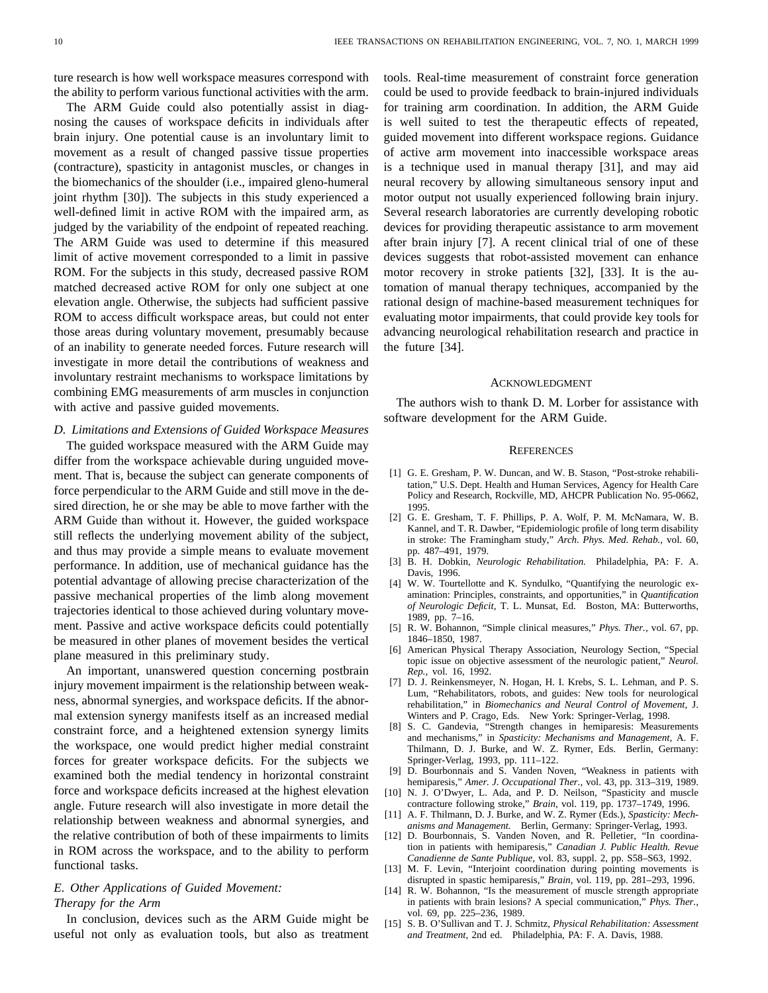ture research is how well workspace measures correspond with the ability to perform various functional activities with the arm.

The ARM Guide could also potentially assist in diagnosing the causes of workspace deficits in individuals after brain injury. One potential cause is an involuntary limit to movement as a result of changed passive tissue properties (contracture), spasticity in antagonist muscles, or changes in the biomechanics of the shoulder (i.e., impaired gleno-humeral joint rhythm [30]). The subjects in this study experienced a well-defined limit in active ROM with the impaired arm, as judged by the variability of the endpoint of repeated reaching. The ARM Guide was used to determine if this measured limit of active movement corresponded to a limit in passive ROM. For the subjects in this study, decreased passive ROM matched decreased active ROM for only one subject at one elevation angle. Otherwise, the subjects had sufficient passive ROM to access difficult workspace areas, but could not enter those areas during voluntary movement, presumably because of an inability to generate needed forces. Future research will investigate in more detail the contributions of weakness and involuntary restraint mechanisms to workspace limitations by combining EMG measurements of arm muscles in conjunction with active and passive guided movements.

### *D. Limitations and Extensions of Guided Workspace Measures*

The guided workspace measured with the ARM Guide may differ from the workspace achievable during unguided movement. That is, because the subject can generate components of force perpendicular to the ARM Guide and still move in the desired direction, he or she may be able to move farther with the ARM Guide than without it. However, the guided workspace still reflects the underlying movement ability of the subject, and thus may provide a simple means to evaluate movement performance. In addition, use of mechanical guidance has the potential advantage of allowing precise characterization of the passive mechanical properties of the limb along movement trajectories identical to those achieved during voluntary movement. Passive and active workspace deficits could potentially be measured in other planes of movement besides the vertical plane measured in this preliminary study.

An important, unanswered question concerning postbrain injury movement impairment is the relationship between weakness, abnormal synergies, and workspace deficits. If the abnormal extension synergy manifests itself as an increased medial constraint force, and a heightened extension synergy limits the workspace, one would predict higher medial constraint forces for greater workspace deficits. For the subjects we examined both the medial tendency in horizontal constraint force and workspace deficits increased at the highest elevation angle. Future research will also investigate in more detail the relationship between weakness and abnormal synergies, and the relative contribution of both of these impairments to limits in ROM across the workspace, and to the ability to perform functional tasks.

# *E. Other Applications of Guided Movement: Therapy for the Arm*

In conclusion, devices such as the ARM Guide might be useful not only as evaluation tools, but also as treatment tools. Real-time measurement of constraint force generation could be used to provide feedback to brain-injured individuals for training arm coordination. In addition, the ARM Guide is well suited to test the therapeutic effects of repeated, guided movement into different workspace regions. Guidance of active arm movement into inaccessible workspace areas is a technique used in manual therapy [31], and may aid neural recovery by allowing simultaneous sensory input and motor output not usually experienced following brain injury. Several research laboratories are currently developing robotic devices for providing therapeutic assistance to arm movement after brain injury [7]. A recent clinical trial of one of these devices suggests that robot-assisted movement can enhance motor recovery in stroke patients [32], [33]. It is the automation of manual therapy techniques, accompanied by the rational design of machine-based measurement techniques for evaluating motor impairments, that could provide key tools for advancing neurological rehabilitation research and practice in the future [34].

#### ACKNOWLEDGMENT

The authors wish to thank D. M. Lorber for assistance with software development for the ARM Guide.

#### **REFERENCES**

- [1] G. E. Gresham, P. W. Duncan, and W. B. Stason, "Post-stroke rehabilitation," U.S. Dept. Health and Human Services, Agency for Health Care Policy and Research, Rockville, MD, AHCPR Publication No. 95-0662, 1995.
- [2] G. E. Gresham, T. F. Phillips, P. A. Wolf, P. M. McNamara, W. B. Kannel, and T. R. Dawber, "Epidemiologic profile of long term disability in stroke: The Framingham study," *Arch. Phys. Med. Rehab.,* vol. 60, pp. 487–491, 1979.
- [3] B. H. Dobkin, *Neurologic Rehabilitation.* Philadelphia, PA: F. A. Davis, 1996.
- [4] W. W. Tourtellotte and K. Syndulko, "Quantifying the neurologic examination: Principles, constraints, and opportunities," in *Quantification of Neurologic Deficit,* T. L. Munsat, Ed. Boston, MA: Butterworths, 1989, pp. 7–16.
- [5] R. W. Bohannon, "Simple clinical measures," *Phys. Ther.,* vol. 67, pp. 1846–1850, 1987.
- [6] American Physical Therapy Association, Neurology Section, "Special topic issue on objective assessment of the neurologic patient," *Neurol. Rep.,* vol. 16, 1992.
- [7] D. J. Reinkensmeyer, N. Hogan, H. I. Krebs, S. L. Lehman, and P. S. Lum, "Rehabilitators, robots, and guides: New tools for neurological rehabilitation," in *Biomechanics and Neural Control of Movement,* J. Winters and P. Crago, Eds. New York: Springer-Verlag, 1998.
- [8] S. C. Gandevia, "Strength changes in hemiparesis: Measurements and mechanisms," in *Spasticity: Mechanisms and Management,* A. F. Thilmann, D. J. Burke, and W. Z. Rymer, Eds. Berlin, Germany: Springer-Verlag, 1993, pp. 111–122.
- [9] D. Bourbonnais and S. Vanden Noven, "Weakness in patients with hemiparesis," *Amer. J. Occupational Ther.,* vol. 43, pp. 313–319, 1989.
- [10] N. J. O'Dwyer, L. Ada, and P. D. Neilson, "Spasticity and muscle contracture following stroke," *Brain,* vol. 119, pp. 1737–1749, 1996.
- [11] A. F. Thilmann, D. J. Burke, and W. Z. Rymer (Eds.), *Spasticity: Mechanisms and Management.* Berlin, Germany: Springer-Verlag, 1993.
- [12] D. Bourbonnais, S. Vanden Noven, and R. Pelletier, "In coordination in patients with hemiparesis," *Canadian J. Public Health. Revue Canadienne de Sante Publique,* vol. 83, suppl. 2, pp. S58–S63, 1992.
- [13] M. F. Levin, "Interjoint coordination during pointing movements is disrupted in spastic hemiparesis," *Brain,* vol. 119, pp. 281–293, 1996.
- [14] R. W. Bohannon, "Is the measurement of muscle strength appropriate in patients with brain lesions? A special communication," *Phys. Ther.,* vol. 69, pp. 225–236, 1989.
- [15] S. B. O'Sullivan and T. J. Schmitz, *Physical Rehabilitation: Assessment and Treatment,* 2nd ed. Philadelphia, PA: F. A. Davis, 1988.